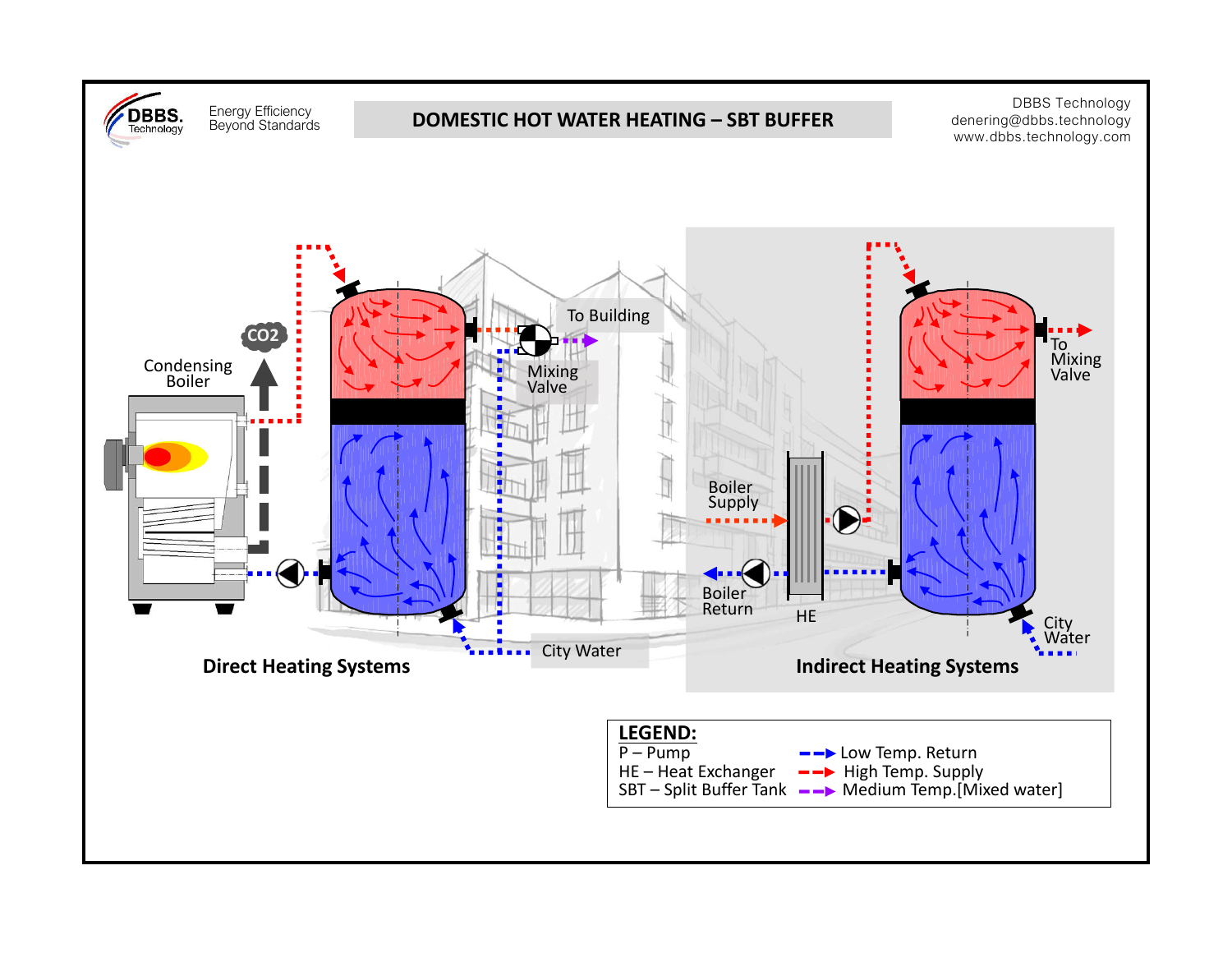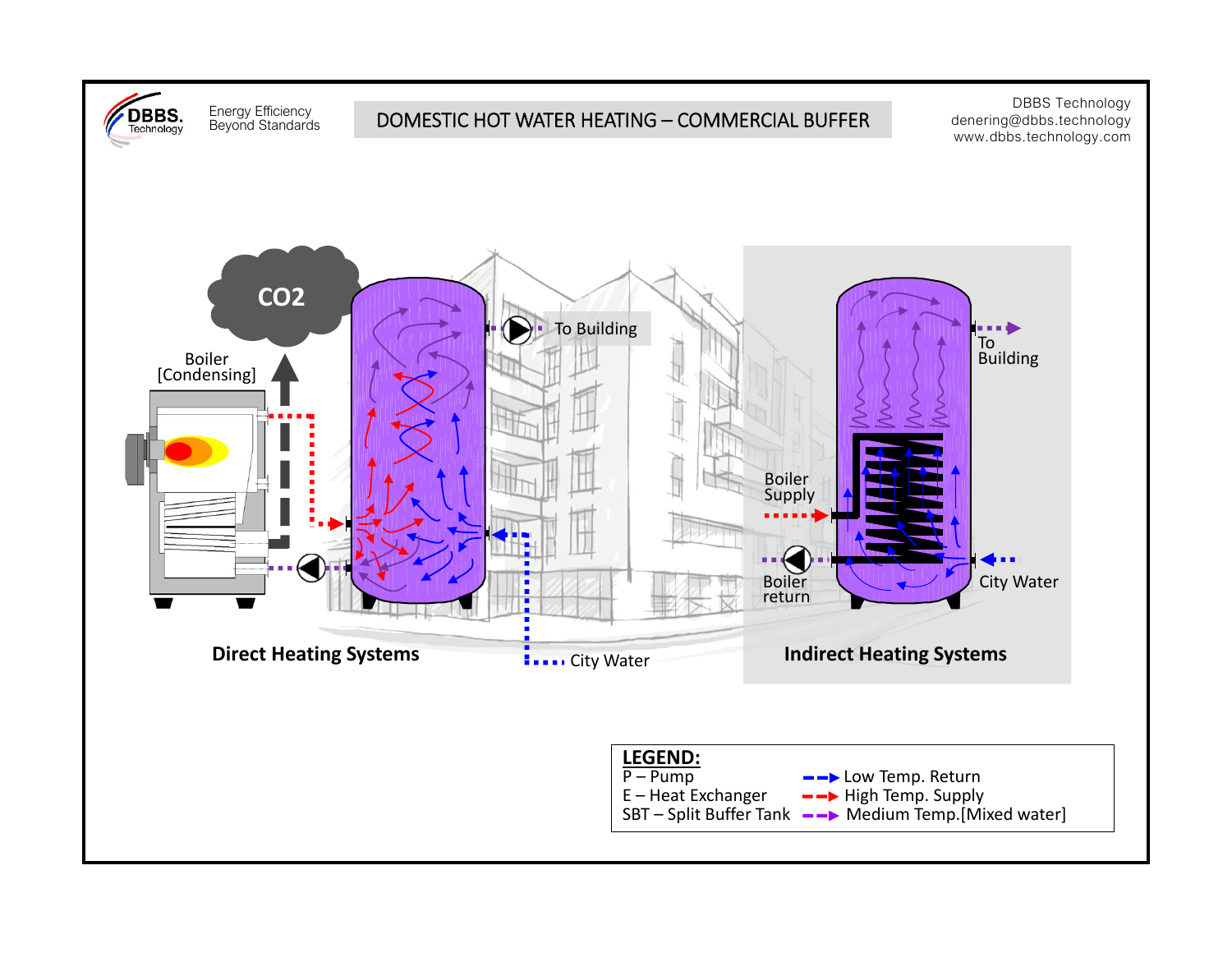